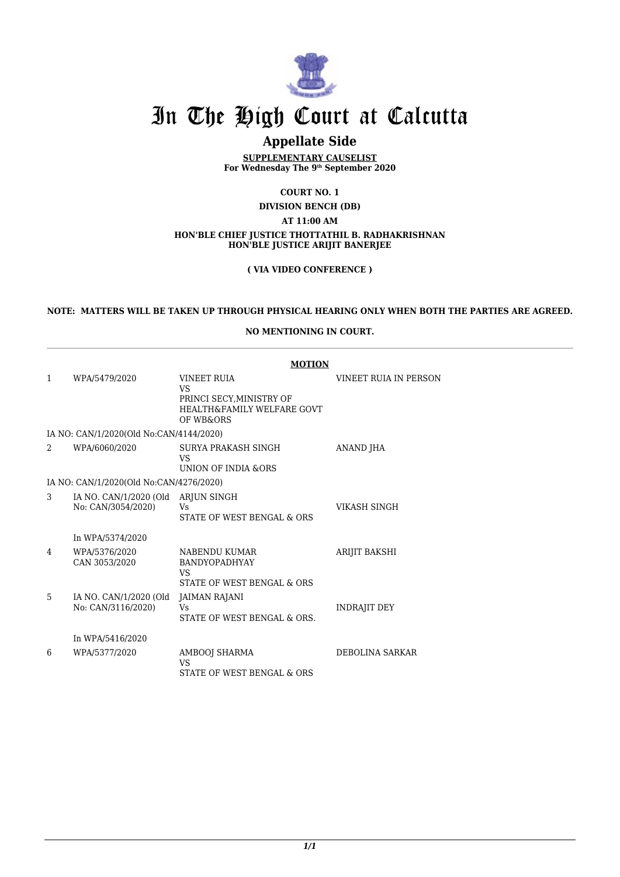

### **Appellate Side**

**SUPPLEMENTARY CAUSELIST For Wednesday The 9th September 2020**

**COURT NO. 1**

**DIVISION BENCH (DB)**

**AT 11:00 AM**

#### **HON'BLE CHIEF JUSTICE THOTTATHIL B. RADHAKRISHNAN HON'BLE JUSTICE ARIJIT BANERJEE**

**( VIA VIDEO CONFERENCE )**

#### **NOTE: MATTERS WILL BE TAKEN UP THROUGH PHYSICAL HEARING ONLY WHEN BOTH THE PARTIES ARE AGREED.**

#### **NO MENTIONING IN COURT.**

| <b>MOTION</b> |                                              |                                                                                                                   |                        |  |
|---------------|----------------------------------------------|-------------------------------------------------------------------------------------------------------------------|------------------------|--|
| 1             | WPA/5479/2020                                | <b>VINEET RUIA</b><br><b>VS</b><br>PRINCI SECY, MINISTRY OF<br><b>HEALTH&amp;FAMILY WELFARE GOVT</b><br>OF WB&ORS | VINEET RUIA IN PERSON  |  |
|               | IA NO: CAN/1/2020(Old No:CAN/4144/2020)      |                                                                                                                   |                        |  |
| 2             | WPA/6060/2020                                | SURYA PRAKASH SINGH<br>VS<br>UNION OF INDIA &ORS                                                                  | ANAND JHA              |  |
|               | IA NO: CAN/1/2020(Old No:CAN/4276/2020)      |                                                                                                                   |                        |  |
| 3             | IA NO. CAN/1/2020 (Old<br>No: CAN/3054/2020) | ARJUN SINGH<br>Vs<br>STATE OF WEST BENGAL & ORS                                                                   | VIKASH SINGH           |  |
|               | In WPA/5374/2020                             |                                                                                                                   |                        |  |
| 4             | WPA/5376/2020<br>CAN 3053/2020               | NABENDU KUMAR<br>BANDYOPADHYAY<br><b>VS</b><br>STATE OF WEST BENGAL & ORS                                         | <b>ARIJIT BAKSHI</b>   |  |
| 5             | IA NO. CAN/1/2020 (Old<br>No: CAN/3116/2020) | JAIMAN RAJANI<br>Vs<br>STATE OF WEST BENGAL & ORS.                                                                | <b>INDRAJIT DEY</b>    |  |
|               | In WPA/5416/2020                             |                                                                                                                   |                        |  |
| 6             | WPA/5377/2020                                | AMBOOJ SHARMA<br><b>VS</b><br>STATE OF WEST BENGAL & ORS                                                          | <b>DEBOLINA SARKAR</b> |  |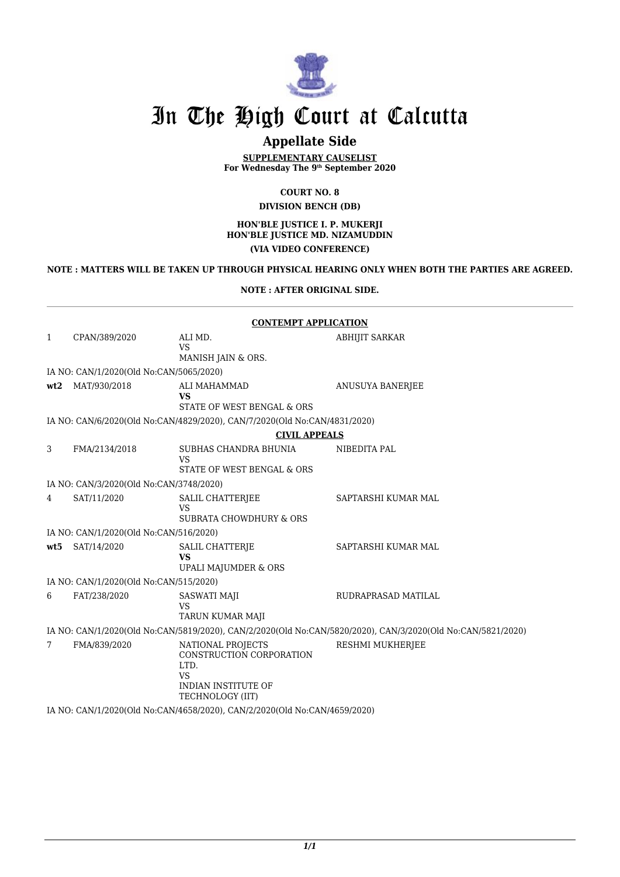

## **Appellate Side**

**SUPPLEMENTARY CAUSELIST For Wednesday The 9th September 2020**

**COURT NO. 8**

#### **DIVISION BENCH (DB)**

#### **HON'BLE JUSTICE I. P. MUKERJI HON'BLE JUSTICE MD. NIZAMUDDIN (VIA VIDEO CONFERENCE)**

#### **NOTE : MATTERS WILL BE TAKEN UP THROUGH PHYSICAL HEARING ONLY WHEN BOTH THE PARTIES ARE AGREED.**

#### **NOTE : AFTER ORIGINAL SIDE.**

|              |                                         | <b>CONTEMPT APPLICATION</b>                                                                                          |                                                                                                             |
|--------------|-----------------------------------------|----------------------------------------------------------------------------------------------------------------------|-------------------------------------------------------------------------------------------------------------|
| $\mathbf{1}$ | CPAN/389/2020                           | ALI MD.<br><b>VS</b><br>MANISH JAIN & ORS.                                                                           | <b>ABHIJIT SARKAR</b>                                                                                       |
|              | IA NO: CAN/1/2020(Old No:CAN/5065/2020) |                                                                                                                      |                                                                                                             |
| wt2          | MAT/930/2018                            | ALI MAHAMMAD<br><b>VS</b><br>STATE OF WEST BENGAL & ORS                                                              | ANUSUYA BANERJEE                                                                                            |
|              |                                         | IA NO: CAN/6/2020(Old No:CAN/4829/2020), CAN/7/2020(Old No:CAN/4831/2020)                                            |                                                                                                             |
|              |                                         | <b>CIVIL APPEALS</b>                                                                                                 |                                                                                                             |
| 3            | FMA/2134/2018                           | SUBHAS CHANDRA BHUNIA<br><b>VS</b><br>STATE OF WEST BENGAL & ORS                                                     | NIBEDITA PAL                                                                                                |
|              | IA NO: CAN/3/2020(Old No:CAN/3748/2020) |                                                                                                                      |                                                                                                             |
| 4            | SAT/11/2020                             | SALIL CHATTERJEE<br>VS<br>SUBRATA CHOWDHURY & ORS                                                                    | SAPTARSHI KUMAR MAL                                                                                         |
|              | IA NO: CAN/1/2020(Old No:CAN/516/2020)  |                                                                                                                      |                                                                                                             |
| wt5          | SAT/14/2020                             | <b>SALIL CHATTERJE</b><br><b>VS</b><br>UPALI MAJUMDER & ORS                                                          | SAPTARSHI KUMAR MAL                                                                                         |
|              | IA NO: CAN/1/2020(Old No:CAN/515/2020)  |                                                                                                                      |                                                                                                             |
| 6            | FAT/238/2020                            | SASWATI MAJI<br><b>VS</b><br>TARUN KUMAR MAJI                                                                        | RUDRAPRASAD MATILAL                                                                                         |
|              |                                         |                                                                                                                      | IA NO: CAN/1/2020(Old No:CAN/5819/2020), CAN/2/2020(Old No:CAN/5820/2020), CAN/3/2020(Old No:CAN/5821/2020) |
| 7            | FMA/839/2020                            | NATIONAL PROJECTS<br>CONSTRUCTION CORPORATION<br>LTD.<br><b>VS</b><br><b>INDIAN INSTITUTE OF</b><br>TECHNOLOGY (IIT) | RESHMI MUKHERJEE                                                                                            |
|              |                                         | IA NO: CAN/1/2020(Old No:CAN/4658/2020), CAN/2/2020(Old No:CAN/4659/2020)                                            |                                                                                                             |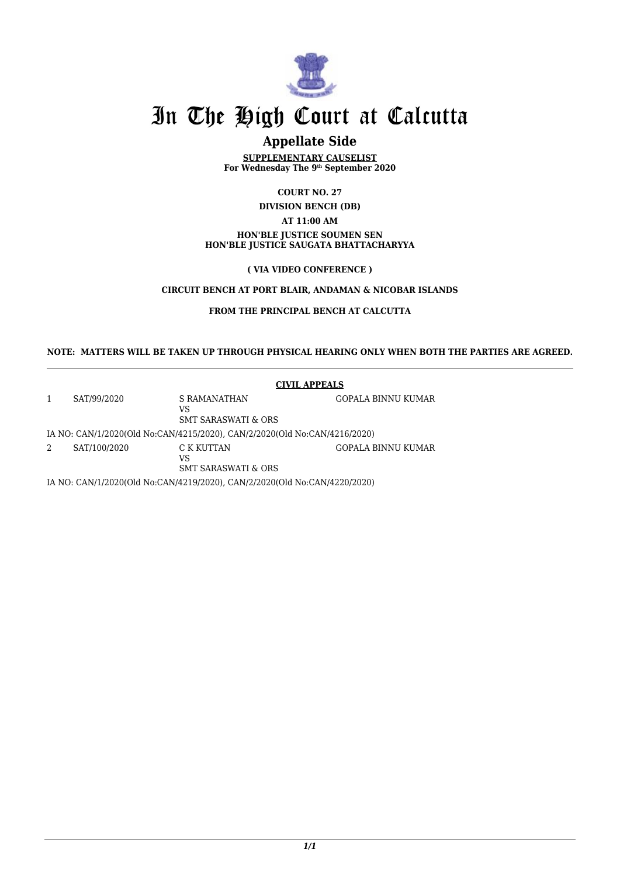

### **Appellate Side**

**SUPPLEMENTARY CAUSELIST For Wednesday The 9th September 2020**

**COURT NO. 27**

**DIVISION BENCH (DB)**

**AT 11:00 AM**

#### **HON'BLE JUSTICE SOUMEN SEN HON'BLE JUSTICE SAUGATA BHATTACHARYYA**

**( VIA VIDEO CONFERENCE )**

**CIRCUIT BENCH AT PORT BLAIR, ANDAMAN & NICOBAR ISLANDS**

**FROM THE PRINCIPAL BENCH AT CALCUTTA**

#### **NOTE: MATTERS WILL BE TAKEN UP THROUGH PHYSICAL HEARING ONLY WHEN BOTH THE PARTIES ARE AGREED.**

|                                                                           |                                                                           | <b>CIVIL APPEALS</b>                      |                    |  |
|---------------------------------------------------------------------------|---------------------------------------------------------------------------|-------------------------------------------|--------------------|--|
|                                                                           | SAT/99/2020                                                               | S RAMANATHAN<br>VS<br>SMT SARASWATI & ORS | GOPALA BINNU KUMAR |  |
| IA NO: CAN/1/2020(Old No:CAN/4215/2020), CAN/2/2020(Old No:CAN/4216/2020) |                                                                           |                                           |                    |  |
| 2                                                                         | SAT/100/2020                                                              | C K KUTTAN<br>VS<br>SMT SARASWATI & ORS   | GOPALA BINNU KUMAR |  |
|                                                                           | IA NO: CAN/1/2020(Old No:CAN/4219/2020), CAN/2/2020(Old No:CAN/4220/2020) |                                           |                    |  |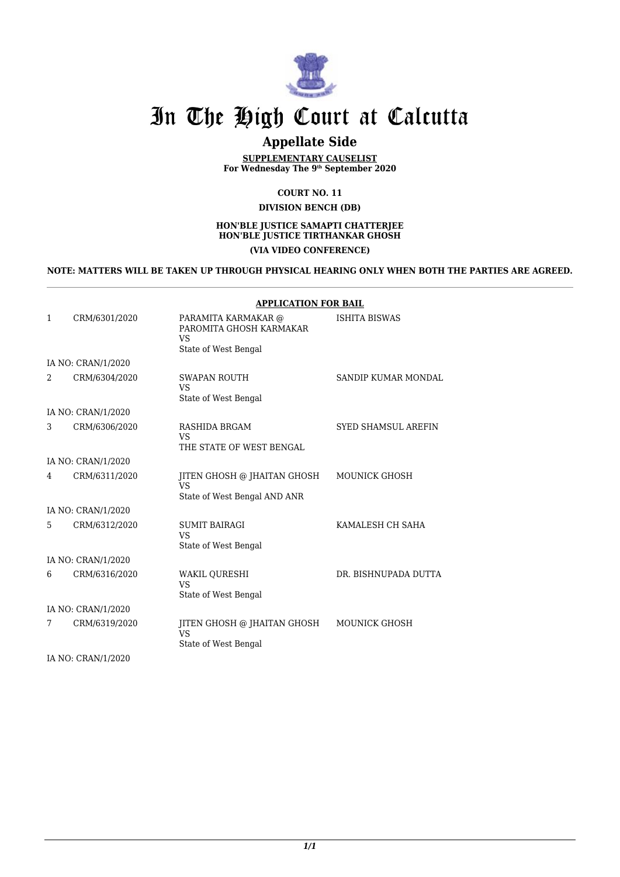

## **Appellate Side**

**SUPPLEMENTARY CAUSELIST For Wednesday The 9th September 2020**

**COURT NO. 11**

#### **DIVISION BENCH (DB)**

#### **HON'BLE JUSTICE SAMAPTI CHATTERJEE HON'BLE JUSTICE TIRTHANKAR GHOSH (VIA VIDEO CONFERENCE)**

#### **NOTE: MATTERS WILL BE TAKEN UP THROUGH PHYSICAL HEARING ONLY WHEN BOTH THE PARTIES ARE AGREED.**

#### **APPLICATION FOR BAIL**

| $\mathbf{1}$ | CRM/6301/2020      | PARAMITA KARMAKAR @<br>PAROMITA GHOSH KARMAKAR<br><b>VS</b><br>State of West Bengal | <b>ISHITA BISWAS</b>       |
|--------------|--------------------|-------------------------------------------------------------------------------------|----------------------------|
|              | IA NO: CRAN/1/2020 |                                                                                     |                            |
| 2            | CRM/6304/2020      | SWAPAN ROUTH<br><b>VS</b><br>State of West Bengal                                   | SANDIP KUMAR MONDAL        |
|              | IA NO: CRAN/1/2020 |                                                                                     |                            |
| 3            | CRM/6306/2020      | <b>RASHIDA BRGAM</b><br><b>VS</b><br>THE STATE OF WEST BENGAL                       | <b>SYED SHAMSUL AREFIN</b> |
|              | IA NO: CRAN/1/2020 |                                                                                     |                            |
| 4            | CRM/6311/2020      | JITEN GHOSH @ JHAITAN GHOSH<br>VS<br>State of West Bengal AND ANR                   | <b>MOUNICK GHOSH</b>       |
|              | IA NO: CRAN/1/2020 |                                                                                     |                            |
| 5            | CRM/6312/2020      | <b>SUMIT BAIRAGI</b><br><b>VS</b><br>State of West Bengal                           | KAMALESH CH SAHA           |
|              | IA NO: CRAN/1/2020 |                                                                                     |                            |
| 6            | CRM/6316/2020      | <b>WAKIL QURESHI</b><br><b>VS</b><br>State of West Bengal                           | DR. BISHNUPADA DUTTA       |
|              | IA NO: CRAN/1/2020 |                                                                                     |                            |
| 7            | CRM/6319/2020      | JITEN GHOSH @ JHAITAN GHOSH<br><b>VS</b><br>State of West Bengal                    | <b>MOUNICK GHOSH</b>       |

IA NO: CRAN/1/2020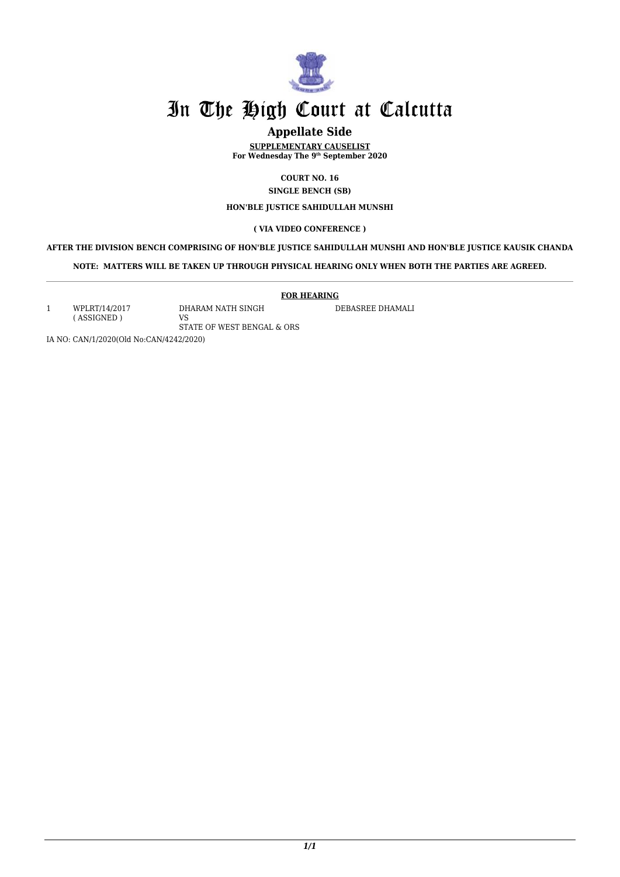

#### **Appellate Side**

**SUPPLEMENTARY CAUSELIST For Wednesday The 9th September 2020**

**COURT NO. 16**

**SINGLE BENCH (SB)**

#### **HON'BLE JUSTICE SAHIDULLAH MUNSHI**

#### **( VIA VIDEO CONFERENCE )**

**AFTER THE DIVISION BENCH COMPRISING OF HON'BLE JUSTICE SAHIDULLAH MUNSHI AND HON'BLE JUSTICE KAUSIK CHANDA**

**NOTE: MATTERS WILL BE TAKEN UP THROUGH PHYSICAL HEARING ONLY WHEN BOTH THE PARTIES ARE AGREED.**

**FOR HEARING**

1 WPLRT/14/2017 ( ASSIGNED )

DHARAM NATH SINGH VS STATE OF WEST BENGAL & ORS DEBASREE DHAMALI

IA NO: CAN/1/2020(Old No:CAN/4242/2020)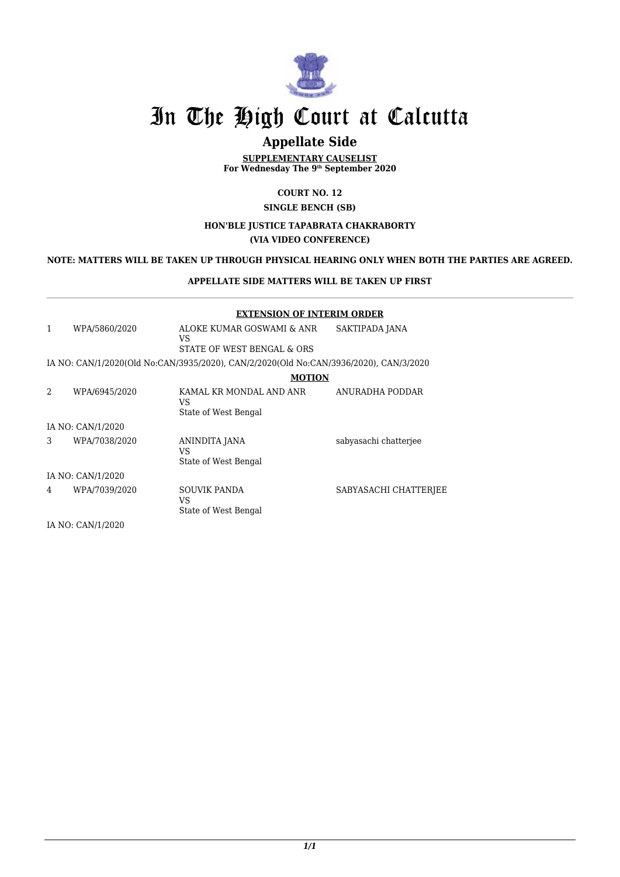

## **Appellate Side**

**SUPPLEMENTARY CAUSELIST For Wednesday The 9th September 2020**

**COURT NO. 12**

#### **SINGLE BENCH (SB)**

#### **HON'BLE JUSTICE TAPABRATA CHAKRABORTY (VIA VIDEO CONFERENCE)**

#### **NOTE: MATTERS WILL BE TAKEN UP THROUGH PHYSICAL HEARING ONLY WHEN BOTH THE PARTIES ARE AGREED.**

**APPELLATE SIDE MATTERS WILL BE TAKEN UP FIRST**

|                   |                   | <b>EXTENSION OF INTERIM ORDER</b>                                                     |                       |  |
|-------------------|-------------------|---------------------------------------------------------------------------------------|-----------------------|--|
| 1                 | WPA/5860/2020     | ALOKE KUMAR GOSWAMI & ANR<br>VS                                                       | SAKTIPADA JANA        |  |
|                   |                   | STATE OF WEST BENGAL & ORS                                                            |                       |  |
|                   |                   | IA NO: CAN/1/2020(Old No:CAN/3935/2020), CAN/2/2020(Old No:CAN/3936/2020), CAN/3/2020 |                       |  |
|                   |                   | <b>MOTION</b>                                                                         |                       |  |
| $\mathfrak{D}$    | WPA/6945/2020     | KAMAL KR MONDAL AND ANR<br>VS<br>State of West Bengal                                 | ANURADHA PODDAR       |  |
|                   | IA NO: CAN/1/2020 |                                                                                       |                       |  |
| 3                 | WPA/7038/2020     | ANINDITA JANA<br>VS<br>State of West Bengal                                           | sabyasachi chatterjee |  |
| IA NO: CAN/1/2020 |                   |                                                                                       |                       |  |
| 4                 | WPA/7039/2020     | <b>SOUVIK PANDA</b><br>VS<br>State of West Bengal                                     | SABYASACHI CHATTERJEE |  |
|                   | IA NO: CAN/1/2020 |                                                                                       |                       |  |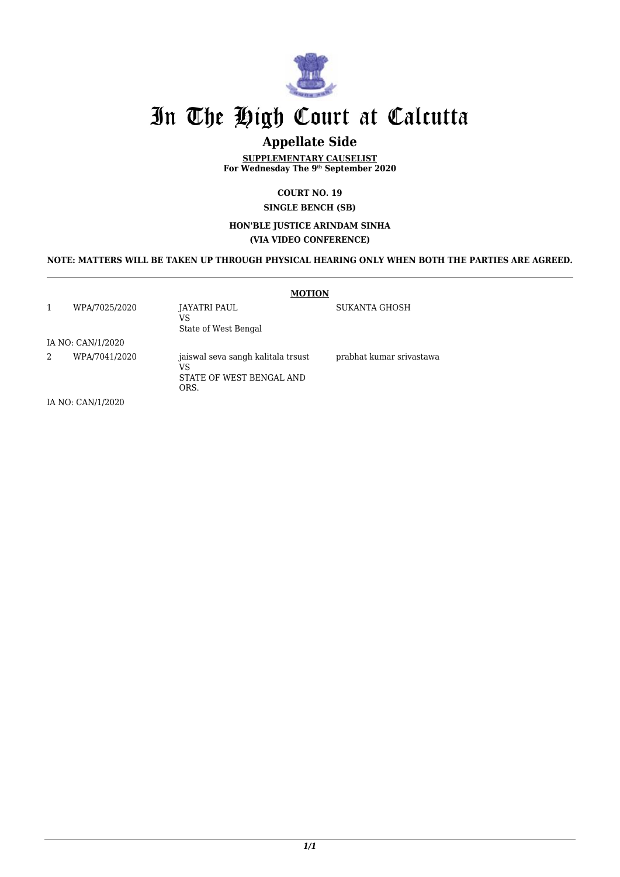

## **Appellate Side**

**SUPPLEMENTARY CAUSELIST For Wednesday The 9th September 2020**

**COURT NO. 19**

#### **SINGLE BENCH (SB)**

#### **HON'BLE JUSTICE ARINDAM SINHA (VIA VIDEO CONFERENCE)**

#### **NOTE: MATTERS WILL BE TAKEN UP THROUGH PHYSICAL HEARING ONLY WHEN BOTH THE PARTIES ARE AGREED.**

#### **MOTION**

1 WPA/7025/2020 JAYATRI PAUL VS State of West Bengal SUKANTA GHOSH IA NO: CAN/1/2020 2 WPA/7041/2020 jaiswal seva sangh kalitala trsust VS STATE OF WEST BENGAL AND ORS. prabhat kumar srivastawa

IA NO: CAN/1/2020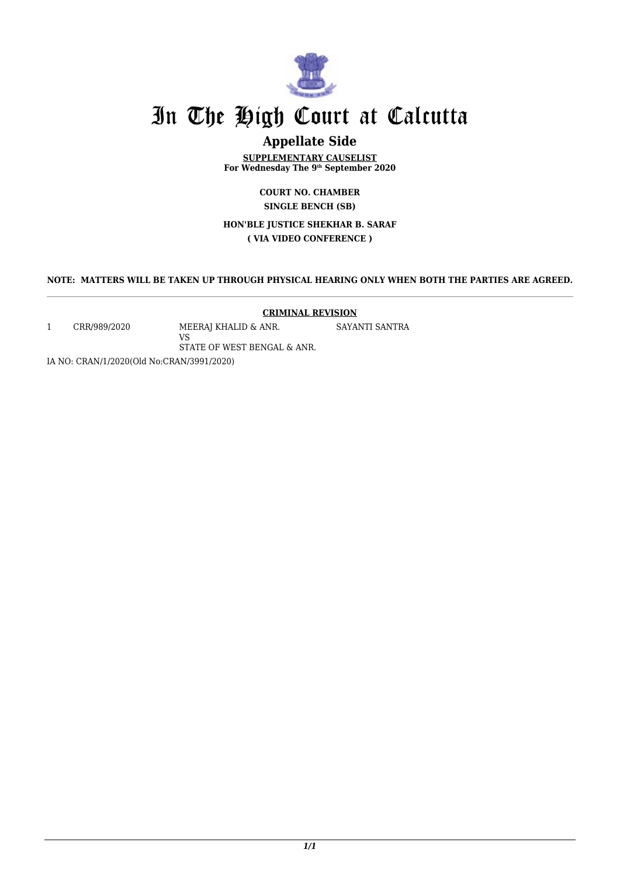

## **Appellate Side**

**SUPPLEMENTARY CAUSELIST For Wednesday The 9th September 2020**

> **COURT NO. CHAMBER SINGLE BENCH (SB)**

#### **HON'BLE JUSTICE SHEKHAR B. SARAF ( VIA VIDEO CONFERENCE )**

**NOTE: MATTERS WILL BE TAKEN UP THROUGH PHYSICAL HEARING ONLY WHEN BOTH THE PARTIES ARE AGREED.**

**CRIMINAL REVISION**

SAYANTI SANTRA

- 
- 1 CRR/989/2020 MEERAJ KHALID & ANR. VS

STATE OF WEST BENGAL & ANR.

IA NO: CRAN/1/2020(Old No:CRAN/3991/2020)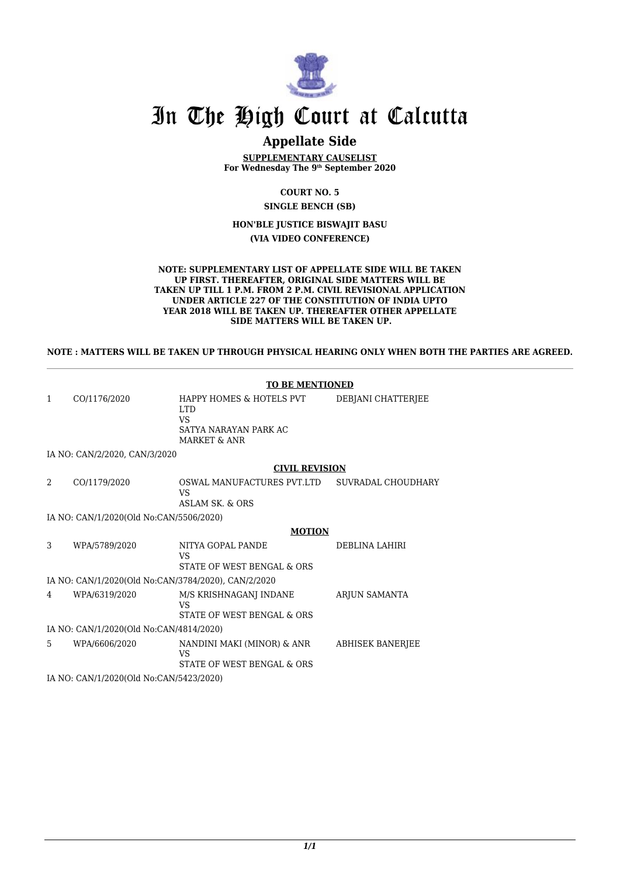

## **Appellate Side**

**SUPPLEMENTARY CAUSELIST For Wednesday The 9th September 2020**

**COURT NO. 5**

**SINGLE BENCH (SB)**

#### **HON'BLE JUSTICE BISWAJIT BASU (VIA VIDEO CONFERENCE)**

#### **NOTE: SUPPLEMENTARY LIST OF APPELLATE SIDE WILL BE TAKEN UP FIRST. THEREAFTER, ORIGINAL SIDE MATTERS WILL BE TAKEN UP TILL 1 P.M. FROM 2 P.M. CIVIL REVISIONAL APPLICATION UNDER ARTICLE 227 OF THE CONSTITUTION OF INDIA UPTO YEAR 2018 WILL BE TAKEN UP. THEREAFTER OTHER APPELLATE SIDE MATTERS WILL BE TAKEN UP.**

#### **NOTE : MATTERS WILL BE TAKEN UP THROUGH PHYSICAL HEARING ONLY WHEN BOTH THE PARTIES ARE AGREED.**

|                                         |                                                     | <b>TO BE MENTIONED</b>                                                                                  |                         |  |
|-----------------------------------------|-----------------------------------------------------|---------------------------------------------------------------------------------------------------------|-------------------------|--|
| 1                                       | CO/1176/2020                                        | HAPPY HOMES & HOTELS PVT<br><b>LTD</b><br><b>VS</b><br>SATYA NARAYAN PARK AC<br><b>MARKET &amp; ANR</b> | DEBJANI CHATTERJEE      |  |
|                                         | IA NO: CAN/2/2020, CAN/3/2020                       |                                                                                                         |                         |  |
|                                         |                                                     | <b>CIVIL REVISION</b>                                                                                   |                         |  |
| 2                                       | CO/1179/2020                                        | OSWAL MANUFACTURES PVT.LTD<br>VS<br>ASLAM SK, & ORS                                                     | SUVRADAL CHOUDHARY      |  |
|                                         | IA NO: CAN/1/2020(Old No:CAN/5506/2020)             |                                                                                                         |                         |  |
|                                         |                                                     | <b>MOTION</b>                                                                                           |                         |  |
| 3                                       | WPA/5789/2020                                       | NITYA GOPAL PANDE<br>VS.<br>STATE OF WEST BENGAL & ORS                                                  | DEBLINA LAHIRI          |  |
|                                         | IA NO: CAN/1/2020(Old No:CAN/3784/2020), CAN/2/2020 |                                                                                                         |                         |  |
| 4                                       | WPA/6319/2020                                       | M/S KRISHNAGANJ INDANE<br>VS<br>STATE OF WEST BENGAL & ORS                                              | ARJUN SAMANTA           |  |
| IA NO: CAN/1/2020(Old No:CAN/4814/2020) |                                                     |                                                                                                         |                         |  |
| 5                                       | WPA/6606/2020                                       | NANDINI MAKI (MINOR) & ANR<br><b>VS</b><br>STATE OF WEST BENGAL & ORS                                   | <b>ABHISEK BANERJEE</b> |  |
|                                         | IA NO: CAN/1/2020(Old No:CAN/5423/2020)             |                                                                                                         |                         |  |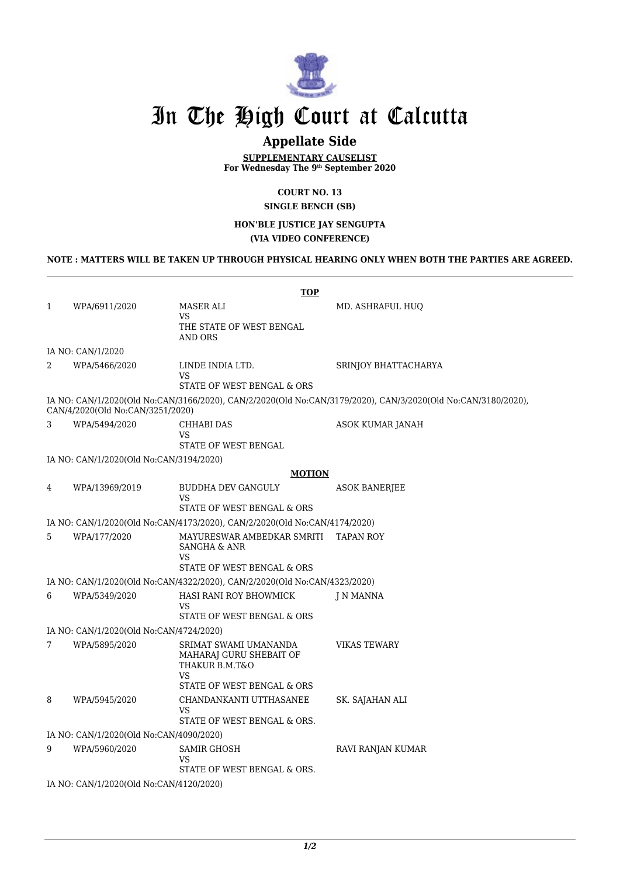

## **Appellate Side**

**SUPPLEMENTARY CAUSELIST For Wednesday The 9th September 2020**

**COURT NO. 13**

#### **SINGLE BENCH (SB)**

#### **HON'BLE JUSTICE JAY SENGUPTA (VIA VIDEO CONFERENCE)**

#### **NOTE : MATTERS WILL BE TAKEN UP THROUGH PHYSICAL HEARING ONLY WHEN BOTH THE PARTIES ARE AGREED.**

|   | <b>TOP</b>                              |                                                                           |                                                                                                              |  |  |
|---|-----------------------------------------|---------------------------------------------------------------------------|--------------------------------------------------------------------------------------------------------------|--|--|
| 1 | WPA/6911/2020                           | MASER ALI<br>VS<br>THE STATE OF WEST BENGAL<br>AND ORS                    | MD. ASHRAFUL HUQ                                                                                             |  |  |
|   | IA NO: CAN/1/2020                       |                                                                           |                                                                                                              |  |  |
| 2 | WPA/5466/2020                           | LINDE INDIA LTD.<br>VS<br>STATE OF WEST BENGAL & ORS                      | SRINJOY BHATTACHARYA                                                                                         |  |  |
|   | CAN/4/2020(Old No:CAN/3251/2020)        |                                                                           | IA NO: CAN/1/2020(Old No:CAN/3166/2020), CAN/2/2020(Old No:CAN/3179/2020), CAN/3/2020(Old No:CAN/3180/2020), |  |  |
| 3 | WPA/5494/2020                           | CHHABI DAS<br>VS<br>STATE OF WEST BENGAL                                  | ASOK KUMAR JANAH                                                                                             |  |  |
|   | IA NO: CAN/1/2020(Old No:CAN/3194/2020) |                                                                           |                                                                                                              |  |  |
|   |                                         | <b>MOTION</b>                                                             |                                                                                                              |  |  |
| 4 | WPA/13969/2019                          | <b>BUDDHA DEV GANGULY</b><br>VS<br>STATE OF WEST BENGAL & ORS             | <b>ASOK BANERJEE</b>                                                                                         |  |  |
|   |                                         | IA NO: CAN/1/2020(Old No:CAN/4173/2020), CAN/2/2020(Old No:CAN/4174/2020) |                                                                                                              |  |  |
| 5 | WPA/177/2020                            | MAYURESWAR AMBEDKAR SMRITI<br>SANGHA & ANR<br>VS                          | TAPAN ROY                                                                                                    |  |  |
|   |                                         | STATE OF WEST BENGAL & ORS                                                |                                                                                                              |  |  |
|   |                                         | IA NO: CAN/1/2020(Old No:CAN/4322/2020), CAN/2/2020(Old No:CAN/4323/2020) |                                                                                                              |  |  |
| 6 | WPA/5349/2020                           | HASI RANI ROY BHOWMICK<br>VS<br>STATE OF WEST BENGAL & ORS                | J N MANNA                                                                                                    |  |  |
|   | IA NO: CAN/1/2020(Old No:CAN/4724/2020) |                                                                           |                                                                                                              |  |  |
| 7 | WPA/5895/2020                           | SRIMAT SWAMI UMANANDA<br>MAHARAJ GURU SHEBAIT OF<br>THAKUR B.M.T&O<br>VS  | <b>VIKAS TEWARY</b>                                                                                          |  |  |
|   |                                         | STATE OF WEST BENGAL & ORS                                                |                                                                                                              |  |  |
| 8 | WPA/5945/2020                           | CHANDANKANTI UTTHASANEE<br>VS<br>STATE OF WEST BENGAL & ORS.              | SK. SAJAHAN ALI                                                                                              |  |  |
|   | IA NO: CAN/1/2020(Old No:CAN/4090/2020) |                                                                           |                                                                                                              |  |  |
| 9 | WPA/5960/2020                           | <b>SAMIR GHOSH</b><br>VS<br>STATE OF WEST BENGAL & ORS.                   | RAVI RANJAN KUMAR                                                                                            |  |  |
|   | IA NO: CAN/1/2020(Old No:CAN/4120/2020) |                                                                           |                                                                                                              |  |  |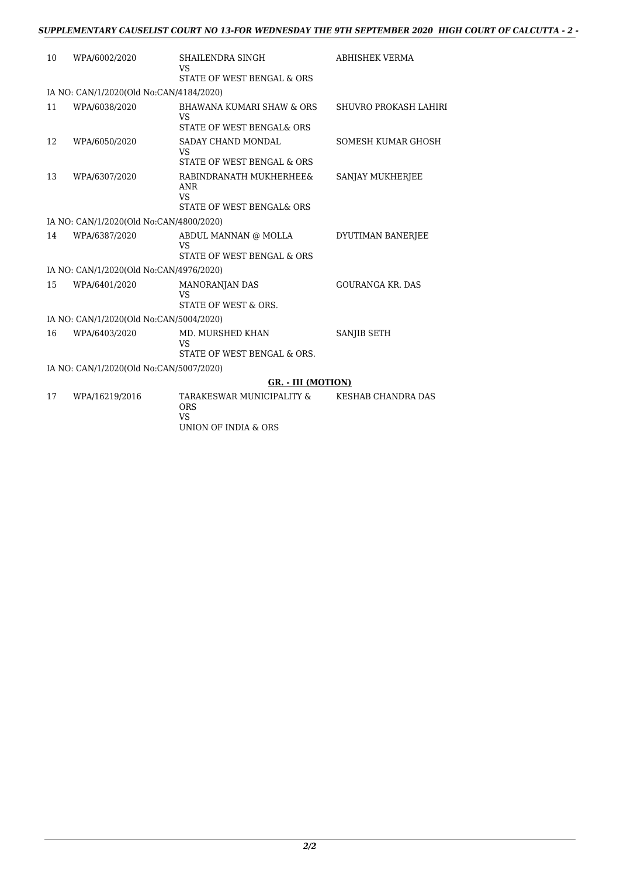| 10 | WPA/6002/2020                           | SHAILENDRA SINGH<br>VS<br>STATE OF WEST BENGAL & ORS                     | ABHISHEK VERMA               |
|----|-----------------------------------------|--------------------------------------------------------------------------|------------------------------|
|    | IA NO: CAN/1/2020(Old No:CAN/4184/2020) |                                                                          |                              |
| 11 | WPA/6038/2020                           | <b>BHAWANA KUMARI SHAW &amp; ORS</b><br>VS<br>STATE OF WEST BENGAL& ORS  | <b>SHUVRO PROKASH LAHIRI</b> |
| 12 | WPA/6050/2020                           | SADAY CHAND MONDAL<br><b>VS</b><br>STATE OF WEST BENGAL & ORS            | SOMESH KUMAR GHOSH           |
| 13 | WPA/6307/2020                           | RABINDRANATH MUKHERHEE&<br>ANR<br><b>VS</b><br>STATE OF WEST BENGAL& ORS | SANJAY MUKHERJEE             |
|    | IA NO: CAN/1/2020(Old No:CAN/4800/2020) |                                                                          |                              |
| 14 | WPA/6387/2020                           | ABDUL MANNAN @ MOLLA<br><b>VS</b><br>STATE OF WEST BENGAL & ORS          | DYUTIMAN BANERJEE            |
|    | IA NO: CAN/1/2020(Old No:CAN/4976/2020) |                                                                          |                              |
| 15 | WPA/6401/2020                           | <b>MANORANJAN DAS</b><br>VS<br>STATE OF WEST & ORS.                      | <b>GOURANGA KR. DAS</b>      |
|    | IA NO: CAN/1/2020(Old No:CAN/5004/2020) |                                                                          |                              |
| 16 | WPA/6403/2020                           | <b>MD. MURSHED KHAN</b><br>VS<br>STATE OF WEST BENGAL & ORS.             | SANJIB SETH                  |
|    | IA NO: CAN/1/2020(Old No:CAN/5007/2020) |                                                                          |                              |
|    |                                         | GR. - III (MOTION)                                                       |                              |
| 17 | WPA/16219/2016                          | TARAKESWAR MUNICIPALITY &<br>ORS<br><b>VS</b><br>UNION OF INDIA & ORS    | <b>KESHAB CHANDRA DAS</b>    |

 *2/2*